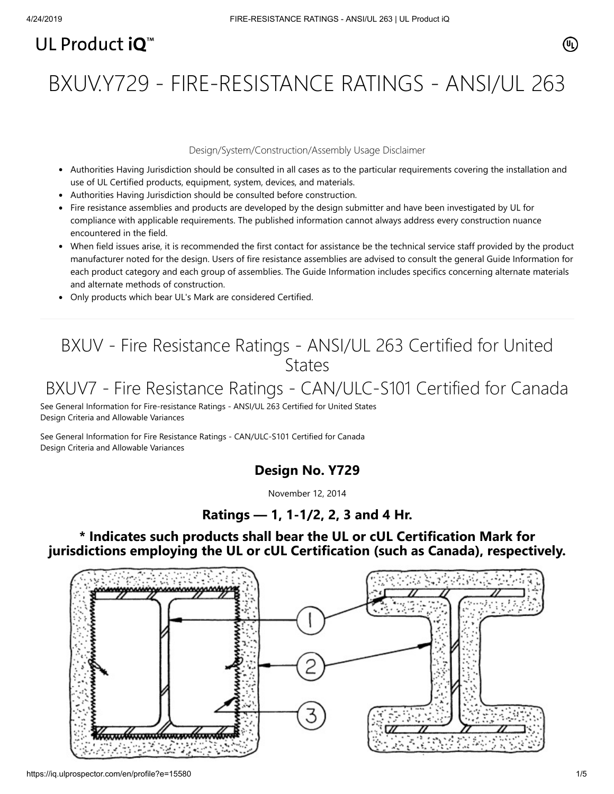# UL Product iQ<sup>™</sup>

BXUV.Y729 - FIRE-RESISTANCE RATINGS - ANSI/UL 263

#### Design/System/Construction/Assembly Usage Disclaimer

- Authorities Having Jurisdiction should be consulted in all cases as to the particular requirements covering the installation and use of UL Certified products, equipment, system, devices, and materials.
- Authorities Having Jurisdiction should be consulted before construction.
- Fire resistance assemblies and products are developed by the design submitter and have been investigated by UL for compliance with applicable requirements. The published information cannot always address every construction nuance encountered in the field.
- When field issues arise, it is recommended the first contact for assistance be the technical service staff provided by the product manufacturer noted for the design. Users of fire resistance assemblies are advised to consult the general Guide Information for each product category and each group of assemblies. The Guide Information includes specifics concerning alternate materials and alternate methods of construction.
- Only products which bear UL's Mark are considered Certified.

## BXUV - Fire Resistance Ratings - ANSI/UL 263 Certified for United **States**

## BXUV7 - Fire Resistance Ratings - CAN/ULC-S101 Certified for Canada

[See General Information for Fire-resistance Ratings - ANSI/UL 263 Certified for United States](https://iq.ulprospector.com/cgi-bin/XYV/template/LISEXT/1FRAME/showpage.html?name=BXUV.GuideInfo&ccnshorttitle=Fire-resistance+Ratings+-+ANSI/UL+263&objid=1074327030&cfgid=1073741824&version=versionless&parent_id=1073984818&sequence=1) Design Criteria and Allowable Variances

[See General Information for Fire Resistance Ratings - CAN/ULC-S101 Certified for Canada](https://iq.ulprospector.com/cgi-bin/XYV/template/LISEXT/1FRAME/showpage.html?name=BXUV7.GuideInfo&ccnshorttitle=Fire+Resistance+Ratings+-+CAN/ULC-S101+Certified+for+Canada&objid=1074205658&cfgid=1073741824&version=versionless&parent_id=1073984820&sequence=1) Design Criteria and Allowable Variances

## **Design No. Y729**

November 12, 2014

### **Ratings — 1, 1-1/2, 2, 3 and 4 Hr.**

### **\* Indicates such products shall bear the UL or cUL Certification Mark for jurisdictions employing the UL or cUL Certification (such as Canada), respectively.**



(UL)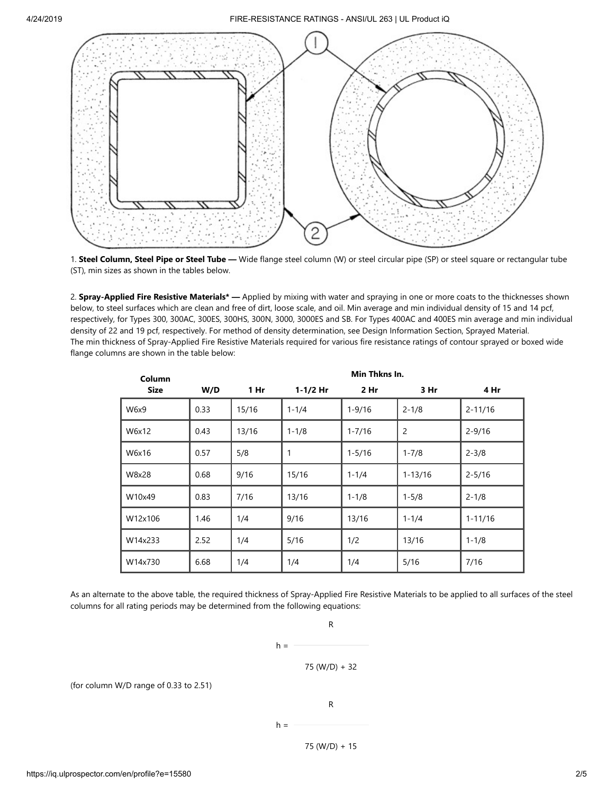

1. **Steel Column, Steel Pipe or Steel Tube —** Wide flange steel column (W) or steel circular pipe (SP) or steel square or rectangular tube (ST), min sizes as shown in the tables below.

2. **Spray-Applied Fire Resistive Materials\* —** Applied by mixing with water and spraying in one or more coats to the thicknesses shown below, to steel surfaces which are clean and free of dirt, loose scale, and oil. Min average and min individual density of 15 and 14 pcf, respectively, for Types 300, 300AC, 300ES, 300HS, 300N, 3000, 3000ES and SB. For Types 400AC and 400ES min average and min individual density of 22 and 19 pcf, respectively. For method of density determination, see Design Information Section, Sprayed Material. The min thickness of Spray-Applied Fire Resistive Materials required for various fire resistance ratings of contour sprayed or boxed wide flange columns are shown in the table below:

| Column      | Min Thkns In. |                 |              |                 |                |             |  |  |
|-------------|---------------|-----------------|--------------|-----------------|----------------|-------------|--|--|
| <b>Size</b> | W/D           | 1 <sub>hr</sub> | $1 - 1/2$ Hr | 2 <sub>hr</sub> | 3 Hr           | 4 Hr        |  |  |
| W6x9        | 0.33          | 15/16           | $1 - 1/4$    | $1 - 9/16$      | $2 - 1/8$      | $2 - 11/16$ |  |  |
| W6x12       | 0.43          | 13/16           | $1 - 1/8$    | $1 - 7/16$      | $\overline{2}$ | $2 - 9/16$  |  |  |
| W6x16       | 0.57          | 5/8             | 1            | $1 - 5/16$      | $1 - 7/8$      | $2 - 3/8$   |  |  |
| W8x28       | 0.68          | 9/16            | 15/16        | $1 - 1/4$       | $1 - 13/16$    | $2 - 5/16$  |  |  |
| W10x49      | 0.83          | 7/16            | 13/16        | $1 - 1/8$       | $1 - 5/8$      | $2 - 1/8$   |  |  |
| W12x106     | 1.46          | 1/4             | 9/16         | 13/16           | $1 - 1/4$      | $1 - 11/16$ |  |  |
| W14x233     | 2.52          | 1/4             | 5/16         | 1/2             | 13/16          | $1 - 1/8$   |  |  |
| W14x730     | 6.68          | 1/4             | 1/4          | 1/4             | 5/16           | 7/16        |  |  |

As an alternate to the above table, the required thickness of Spray-Applied Fire Resistive Materials to be applied to all surfaces of the steel columns for all rating periods may be determined from the following equations:

 $h =$ 



R

(for column W/D range of 0.33 to 2.51)

R

$$
\mathcal{L}(\mathcal{L})
$$

 $h =$ 

75 (W/D) + 15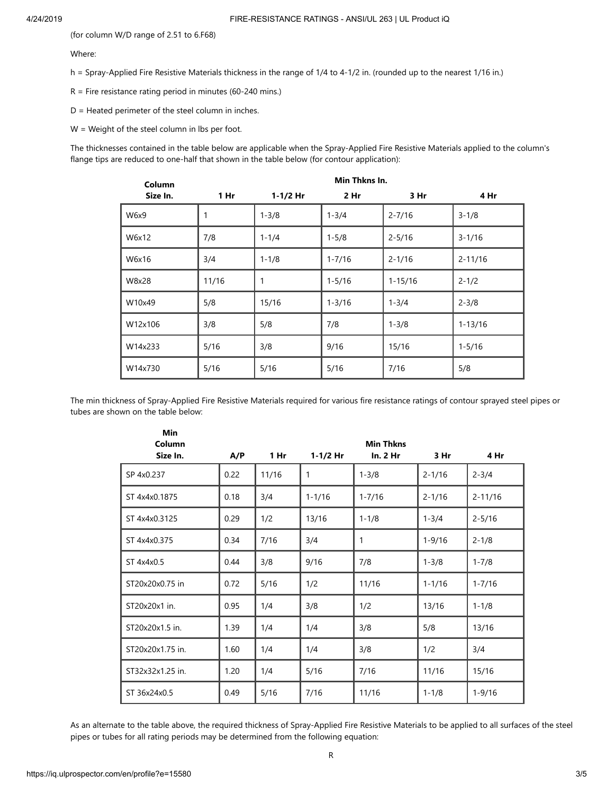(for column W/D range of 2.51 to 6.F68)

#### Where:

h = Spray-Applied Fire Resistive Materials thickness in the range of 1/4 to 4-1/2 in. (rounded up to the nearest 1/16 in.)

 $R =$  Fire resistance rating period in minutes (60-240 mins.)

D = Heated perimeter of the steel column in inches.

**Min**

W = Weight of the steel column in lbs per foot.

The thicknesses contained in the table below are applicable when the Spray-Applied Fire Resistive Materials applied to the column's flange tips are reduced to one-half that shown in the table below (for contour application):

| Column   | Min Thkns In.   |              |                 |             |             |  |  |
|----------|-----------------|--------------|-----------------|-------------|-------------|--|--|
| Size In. | 1 <sub>hr</sub> | $1 - 1/2$ Hr | 2 <sub>hr</sub> | 3 Hr        | 4 Hr        |  |  |
| W6x9     | 1               | $1 - 3/8$    | $1 - 3/4$       | $2 - 7/16$  | $3 - 1/8$   |  |  |
| W6x12    | 7/8             | $1 - 1/4$    | $1 - 5/8$       | $2 - 5/16$  | $3 - 1/16$  |  |  |
| W6x16    | 3/4             | $1 - 1/8$    | $1 - 7/16$      | $2 - 1/16$  | $2 - 11/16$ |  |  |
| W8x28    | 11/16           | 1            | $1 - 5/16$      | $1 - 15/16$ | $2 - 1/2$   |  |  |
| W10x49   | 5/8             | 15/16        | $1 - 3/16$      | $1 - 3/4$   | $2 - 3/8$   |  |  |
| W12x106  | 3/8             | 5/8          | 7/8             | $1 - 3/8$   | $1 - 13/16$ |  |  |
| W14x233  | 5/16            | 3/8          | 9/16            | 15/16       | $1 - 5/16$  |  |  |
| W14x730  | 5/16            | 5/16         | 5/16            | 7/16        | 5/8         |  |  |

The min thickness of Spray-Applied Fire Resistive Materials required for various fire resistance ratings of contour sprayed steel pipes or tubes are shown on the table below:

| MIN.<br>Column<br>Size In. | A/P  | 1 <sub>hr</sub> | $1 - 1/2$ Hr | <b>Min Thkns</b><br>In. 2 Hr | 3 Hr       | 4 Hr        |
|----------------------------|------|-----------------|--------------|------------------------------|------------|-------------|
| SP 4x0.237                 | 0.22 | 11/16           | $\mathbf{1}$ | $1 - 3/8$                    | $2 - 1/16$ | $2 - 3/4$   |
| ST 4x4x0.1875              | 0.18 | 3/4             | $1 - 1/16$   | $1 - 7/16$                   | $2 - 1/16$ | $2 - 11/16$ |
| ST 4x4x0.3125              | 0.29 | 1/2             | 13/16        | $1 - 1/8$                    | $1 - 3/4$  | $2 - 5/16$  |
| ST 4x4x0.375               | 0.34 | 7/16            | 3/4          | 1                            | $1 - 9/16$ | $2 - 1/8$   |
| ST 4x4x0.5                 | 0.44 | 3/8             | 9/16         | 7/8                          | $1 - 3/8$  | $1 - 7/8$   |
| ST20x20x0.75 in            | 0.72 | 5/16            | 1/2          | 11/16                        | $1 - 1/16$ | $1 - 7/16$  |
| ST20x20x1 in.              | 0.95 | 1/4             | 3/8          | 1/2                          | 13/16      | $1 - 1/8$   |
| ST20x20x1.5 in.            | 1.39 | 1/4             | 1/4          | 3/8                          | 5/8        | 13/16       |
| ST20x20x1.75 in.           | 1.60 | 1/4             | 1/4          | 3/8                          | 1/2        | 3/4         |
| ST32x32x1.25 in.           | 1.20 | 1/4             | 5/16         | 7/16                         | 11/16      | 15/16       |
| ST 36x24x0.5               | 0.49 | 5/16            | 7/16         | 11/16                        | $1 - 1/8$  | $1 - 9/16$  |

As an alternate to the table above, the required thickness of Spray-Applied Fire Resistive Materials to be applied to all surfaces of the steel pipes or tubes for all rating periods may be determined from the following equation: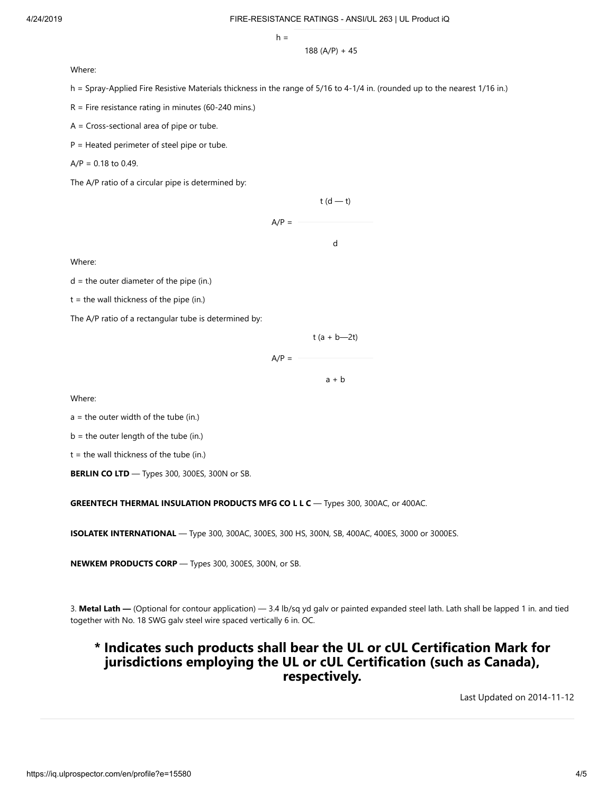$h =$ 

188 (A/P) + 45

Where:

h = Spray-Applied Fire Resistive Materials thickness in the range of 5/16 to 4-1/4 in. (rounded up to the nearest 1/16 in.)

 $R$  = Fire resistance rating in minutes (60-240 mins.)

A = Cross-sectional area of pipe or tube.

P = Heated perimeter of steel pipe or tube.

 $A/P = 0.18$  to 0.49.

The A/P ratio of a circular pipe is determined by:

 $t(d - t)$  $A/P =$ d

Where:

 $d =$  the outer diameter of the pipe (in.)

 $t =$  the wall thickness of the pipe (in.)

The A/P ratio of a rectangular tube is determined by:

$$
t (a + b - 2t)
$$

 $A/P =$ 

 $a + b$ 

Where:

 $a =$  the outer width of the tube (in.)

 $b =$  the outer length of the tube (in.)

 $t =$  the wall thickness of the tube (in.)

**BERLIN CO LTD** — Types 300, 300ES, 300N or SB.

**GREENTECH THERMAL INSULATION PRODUCTS MFG CO L L C** — Types 300, 300AC, or 400AC.

**ISOLATEK INTERNATIONAL** — Type 300, 300AC, 300ES, 300 HS, 300N, SB, 400AC, 400ES, 3000 or 3000ES.

**NEWKEM PRODUCTS CORP** — Types 300, 300ES, 300N, or SB.

3. **Metal Lath —** (Optional for contour application) — 3.4 lb/sq yd galv or painted expanded steel lath. Lath shall be lapped 1 in. and tied together with No. 18 SWG galv steel wire spaced vertically 6 in. OC.

### **\* Indicates such products shall bear the UL or cUL Certification Mark for jurisdictions employing the UL or cUL Certification (such as Canada), respectively.**

[Last Updated](javascript:openit() on 2014-11-12